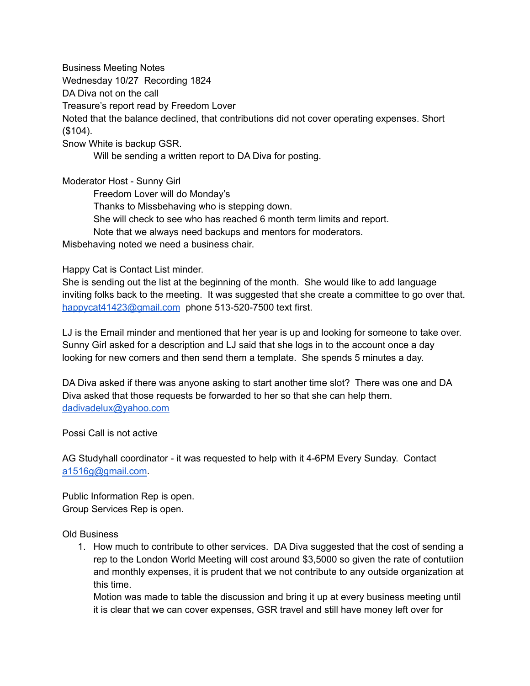Business Meeting Notes

Wednesday 10/27 Recording 1824

DA Diva not on the call

Treasure's report read by Freedom Lover

Noted that the balance declined, that contributions did not cover operating expenses. Short (\$104).

Snow White is backup GSR.

Will be sending a written report to DA Diva for posting.

Moderator Host - Sunny Girl

Freedom Lover will do Monday's Thanks to Missbehaving who is stepping down. She will check to see who has reached 6 month term limits and report. Note that we always need backups and mentors for moderators. Misbehaving noted we need a business chair.

## Happy Cat is Contact List minder.

She is sending out the list at the beginning of the month. She would like to add language inviting folks back to the meeting. It was suggested that she create a committee to go over that. [happycat41423@gmail.com](mailto:happycat41423@gmail.com) phone 513-520-7500 text first.

LJ is the Email minder and mentioned that her year is up and looking for someone to take over. Sunny Girl asked for a description and LJ said that she logs in to the account once a day looking for new comers and then send them a template. She spends 5 minutes a day.

DA Diva asked if there was anyone asking to start another time slot? There was one and DA Diva asked that those requests be forwarded to her so that she can help them. [dadivadelux@yahoo.com](mailto:dadivadelux@yahoo.com)

## Possi Call is not active

AG Studyhall coordinator - it was requested to help with it 4-6PM Every Sunday. Contact [a1516g@gmail.com.](mailto:a1516g@gmail.com)

Public Information Rep is open. Group Services Rep is open.

Old Business

1. How much to contribute to other services. DA Diva suggested that the cost of sending a rep to the London World Meeting will cost around \$3,5000 so given the rate of contutiion and monthly expenses, it is prudent that we not contribute to any outside organization at this time.

Motion was made to table the discussion and bring it up at every business meeting until it is clear that we can cover expenses, GSR travel and still have money left over for